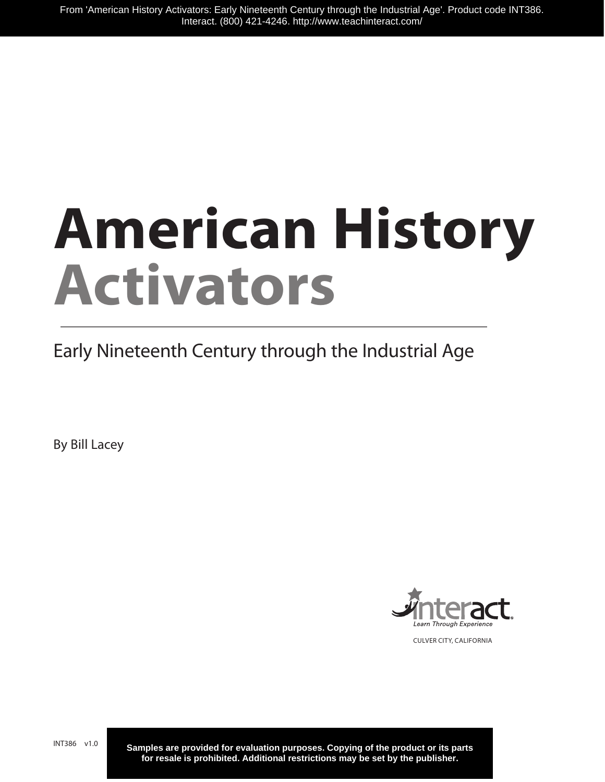# **American History Activators**

Early Nineteenth Century through the Industrial Age

By Bill Lacey



CULVER CITY, CALIFORNIA

INT386 v1.0

**Samples are provided for evaluation purposes. Copying of the product or its parts for resale is prohibited. Additional restrictions may be set by the publisher.**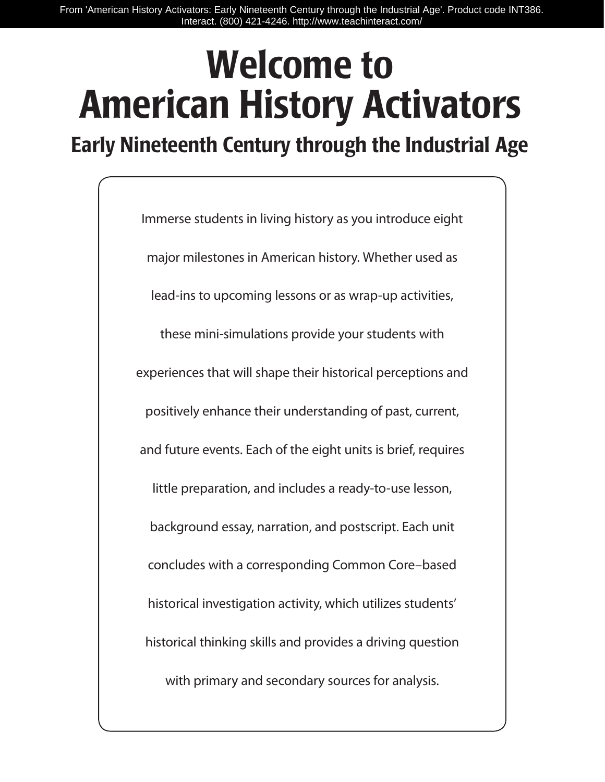From 'American History Activators: Early Nineteenth Century through the Industrial Age'. Product code INT386. Interact. (800) 421-4246. http://www.teachinteract.com/

# Welcome to American History Activators

Early Nineteenth Century through the Industrial Age

Immerse students in living history as you introduce eight major milestones in American history. Whether used as lead-ins to upcoming lessons or as wrap-up activities, these mini-simulations provide your students with experiences that will shape their historical perceptions and positively enhance their understanding of past, current, and future events. Each of the eight units is brief, requires little preparation, and includes a ready-to-use lesson, background essay, narration, and postscript. Each unit concludes with a corresponding Common Core–based historical investigation activity, which utilizes students' historical thinking skills and provides a driving question with primary and secondary sources for analysis.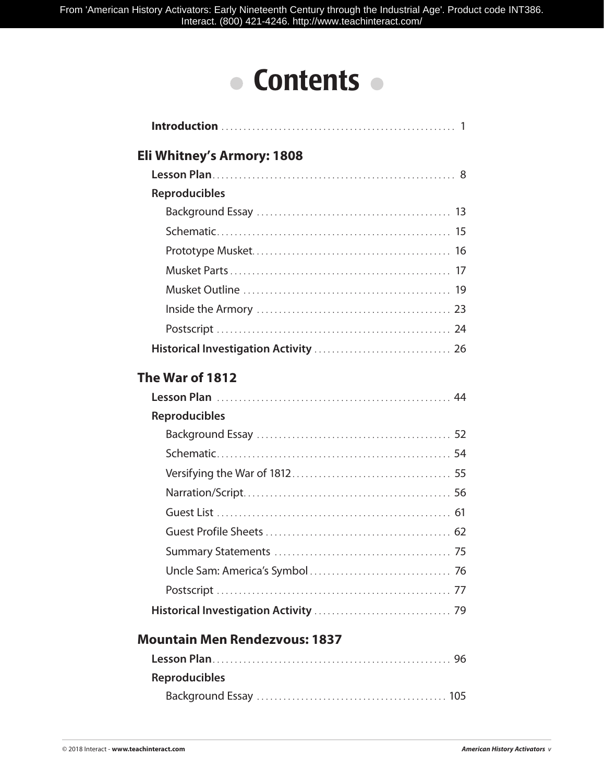## • Contents •

| Eli Whitney's Armory: 1808 |  |
|----------------------------|--|
|                            |  |
| <b>Reproducibles</b>       |  |
|                            |  |
|                            |  |
|                            |  |
|                            |  |
|                            |  |
|                            |  |
|                            |  |
|                            |  |
| The War of 1812            |  |
|                            |  |
| <b>Reproducibles</b>       |  |
|                            |  |
|                            |  |
|                            |  |
|                            |  |
|                            |  |
|                            |  |
|                            |  |
|                            |  |
|                            |  |
|                            |  |
|                            |  |

## **Mountain Men Rendezvous: 1837**

| <b>Reproducibles</b> |  |
|----------------------|--|
|                      |  |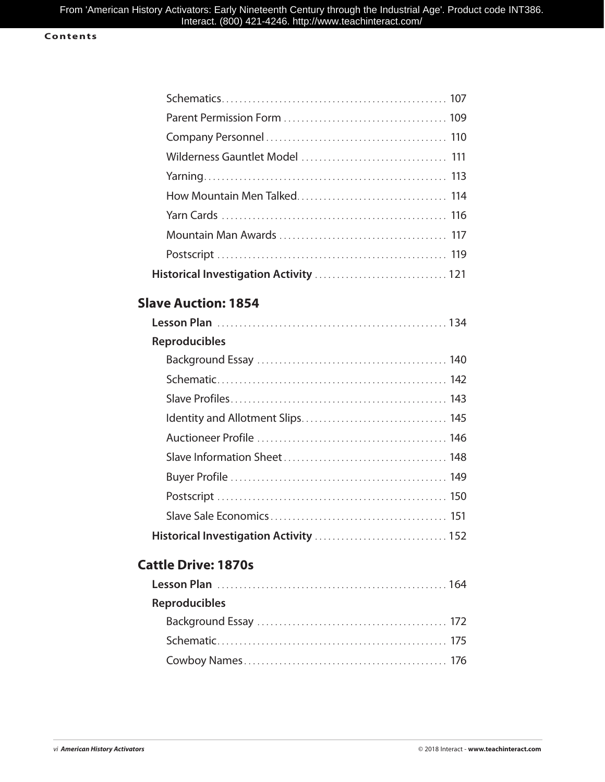## **Contents**

## **Slave Auction: 1854**

| <b>Reproducibles</b> |
|----------------------|
|                      |
|                      |
|                      |
|                      |
|                      |
|                      |
|                      |
|                      |
|                      |
|                      |

## **Cattle Drive: 1870s**

| <b>Reproducibles</b> |  |
|----------------------|--|
|                      |  |
|                      |  |
|                      |  |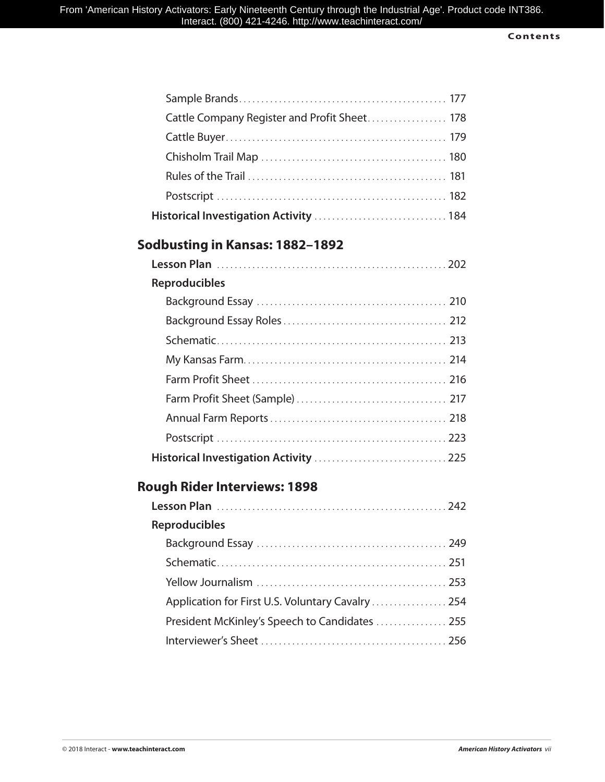| Cattle Company Register and Profit Sheet 178 |  |
|----------------------------------------------|--|
|                                              |  |
|                                              |  |
|                                              |  |
|                                              |  |
| Historical Investigation Activity  184       |  |

## **Sodbusting in Kansas: 1882–1892**

| <b>Reproducibles</b> |  |
|----------------------|--|
|                      |  |
|                      |  |
|                      |  |
|                      |  |
|                      |  |
|                      |  |
|                      |  |
|                      |  |
|                      |  |

## **Rough Rider Interviews: 1898**

| <b>Reproducibles</b>                              |  |
|---------------------------------------------------|--|
|                                                   |  |
|                                                   |  |
|                                                   |  |
| Application for First U.S. Voluntary Cavalry  254 |  |
| President McKinley's Speech to Candidates  255    |  |
|                                                   |  |
|                                                   |  |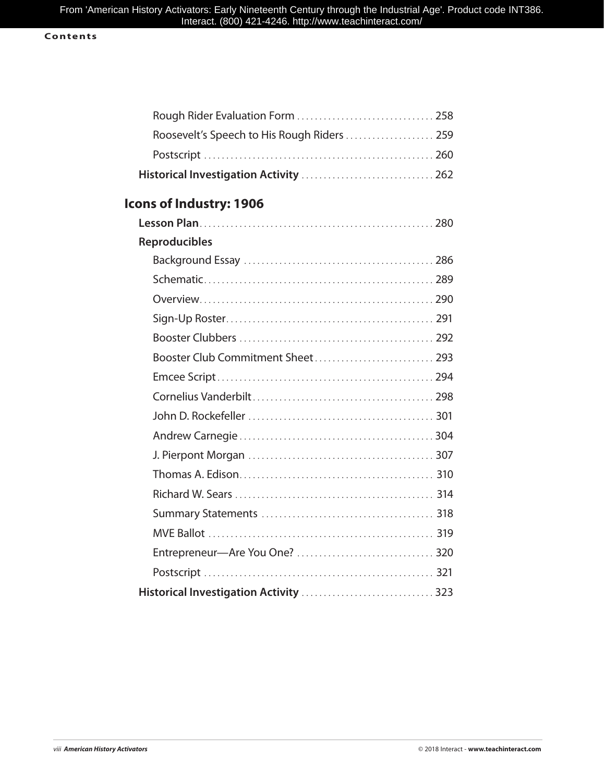## **Contents**

| Roosevelt's Speech to His Rough Riders  259 |  |
|---------------------------------------------|--|
|                                             |  |
|                                             |  |
| Icons of Industry: 1906                     |  |
|                                             |  |
| <b>Reproducibles</b>                        |  |
|                                             |  |
|                                             |  |
|                                             |  |
|                                             |  |
|                                             |  |
|                                             |  |
|                                             |  |
|                                             |  |
|                                             |  |
|                                             |  |
|                                             |  |
|                                             |  |
|                                             |  |
|                                             |  |
|                                             |  |
|                                             |  |
|                                             |  |
| Historical Investigation Activity  323      |  |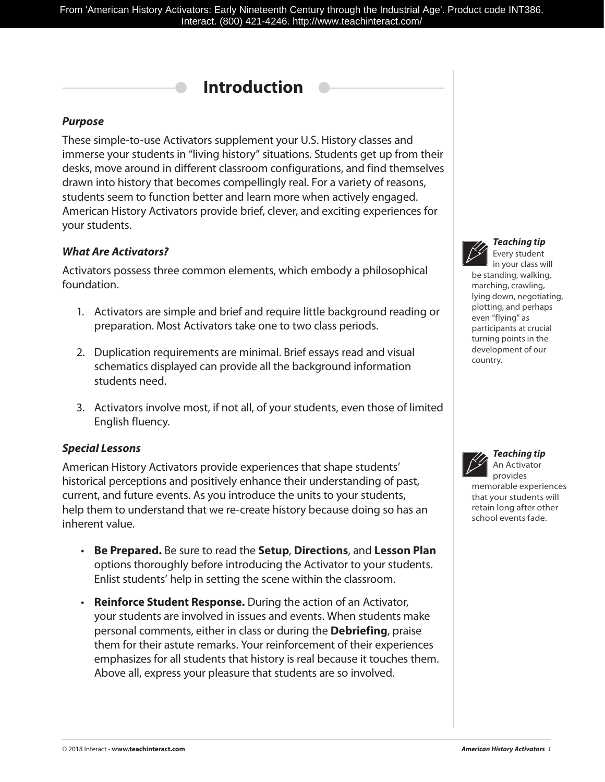## **Introduction**

## *Purpose*

These simple-to-use Activators supplement your U.S. History classes and immerse your students in "living history" situations. Students get up from their desks, move around in different classroom configurations, and find themselves drawn into history that becomes compellingly real. For a variety of reasons, students seem to function better and learn more when actively engaged. American History Activators provide brief, clever, and exciting experiences for your students.

## *What Are Activators?*

Activators possess three common elements, which embody a philosophical foundation.

- 1. Activators are simple and brief and require little background reading or preparation. Most Activators take one to two class periods.
- 2. Duplication requirements are minimal. Brief essays read and visual schematics displayed can provide all the background information students need.
- 3. Activators involve most, if not all, of your students, even those of limited English fluency.

## *Special Lessons*

American History Activators provide experiences that shape students' historical perceptions and positively enhance their understanding of past, current, and future events. As you introduce the units to your students, help them to understand that we re-create history because doing so has an inherent value.

- **Be Prepared.** Be sure to read the **Setup**, **Directions**, and **Lesson Plan** options thoroughly before introducing the Activator to your students. Enlist students' help in setting the scene within the classroom.
- **Reinforce Student Response.** During the action of an Activator, your students are involved in issues and events. When students make personal comments, either in class or during the **Debriefing**, praise them for their astute remarks. Your reinforcement of their experiences emphasizes for all students that history is real because it touches them. Above all, express your pleasure that students are so involved.



*Teaching tip* Every student

in your class will be standing, walking, marching, crawling, lying down, negotiating, plotting, and perhaps even "flying" as participants at crucial turning points in the development of our country.



## *Teaching tip* An Activator provides

memorable experiences that your students will retain long after other school events fade.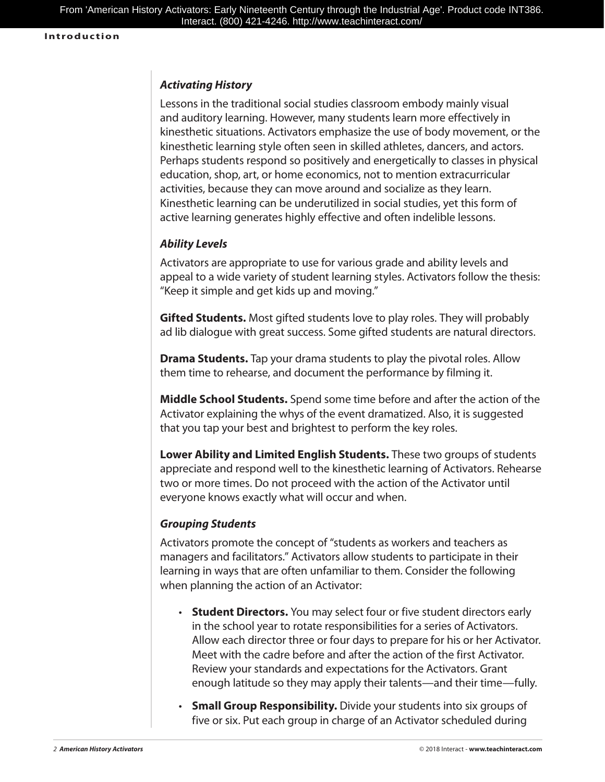## *Activating History*

Lessons in the traditional social studies classroom embody mainly visual and auditory learning. However, many students learn more effectively in kinesthetic situations. Activators emphasize the use of body movement, or the kinesthetic learning style often seen in skilled athletes, dancers, and actors. Perhaps students respond so positively and energetically to classes in physical education, shop, art, or home economics, not to mention extracurricular activities, because they can move around and socialize as they learn. Kinesthetic learning can be underutilized in social studies, yet this form of active learning generates highly effective and often indelible lessons.

## *Ability Levels*

Activators are appropriate to use for various grade and ability levels and appeal to a wide variety of student learning styles. Activators follow the thesis: "Keep it simple and get kids up and moving."

**Gifted Students.** Most gifted students love to play roles. They will probably ad lib dialogue with great success. Some gifted students are natural directors.

**Drama Students.** Tap your drama students to play the pivotal roles. Allow them time to rehearse, and document the performance by filming it.

**Middle School Students.** Spend some time before and after the action of the Activator explaining the whys of the event dramatized. Also, it is suggested that you tap your best and brightest to perform the key roles.

**Lower Ability and Limited English Students.** These two groups of students appreciate and respond well to the kinesthetic learning of Activators. Rehearse two or more times. Do not proceed with the action of the Activator until everyone knows exactly what will occur and when.

## *Grouping Students*

Activators promote the concept of "students as workers and teachers as managers and facilitators." Activators allow students to participate in their learning in ways that are often unfamiliar to them. Consider the following when planning the action of an Activator:

- **Student Directors.** You may select four or five student directors early in the school year to rotate responsibilities for a series of Activators. Allow each director three or four days to prepare for his or her Activator. Meet with the cadre before and after the action of the first Activator. Review your standards and expectations for the Activators. Grant enough latitude so they may apply their talents—and their time—fully.
- **Small Group Responsibility.** Divide your students into six groups of five or six. Put each group in charge of an Activator scheduled during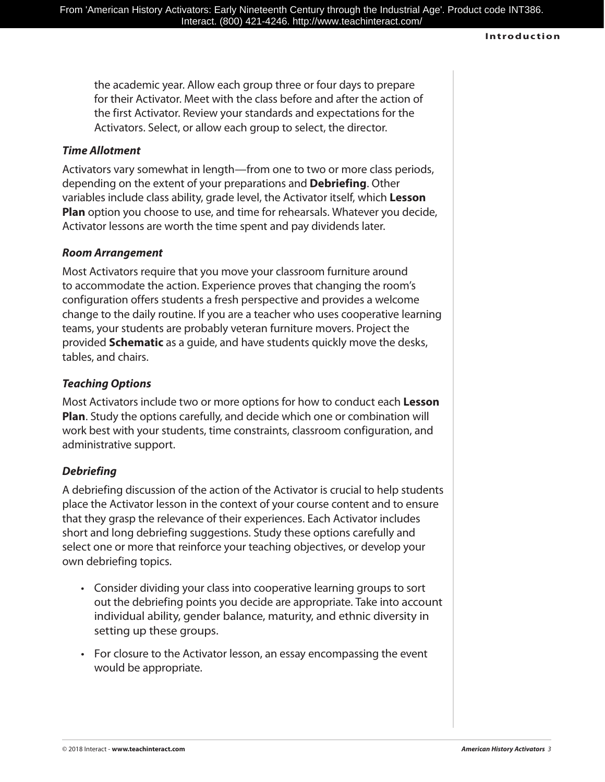### **Introduction**

the academic year. Allow each group three or four days to prepare for their Activator. Meet with the class before and after the action of the first Activator. Review your standards and expectations for the Activators. Select, or allow each group to select, the director.

## *Time Allotment*

Activators vary somewhat in length—from one to two or more class periods, depending on the extent of your preparations and **Debriefing**. Other variables include class ability, grade level, the Activator itself, which **Lesson Plan** option you choose to use, and time for rehearsals. Whatever you decide, Activator lessons are worth the time spent and pay dividends later.

## *Room Arrangement*

Most Activators require that you move your classroom furniture around to accommodate the action. Experience proves that changing the room's configuration offers students a fresh perspective and provides a welcome change to the daily routine. If you are a teacher who uses cooperative learning teams, your students are probably veteran furniture movers. Project the provided **Schematic** as a guide, and have students quickly move the desks, tables, and chairs.

## *Teaching Options*

Most Activators include two or more options for how to conduct each **Lesson Plan**. Study the options carefully, and decide which one or combination will work best with your students, time constraints, classroom configuration, and administrative support.

## *Debriefing*

A debriefing discussion of the action of the Activator is crucial to help students place the Activator lesson in the context of your course content and to ensure that they grasp the relevance of their experiences. Each Activator includes short and long debriefing suggestions. Study these options carefully and select one or more that reinforce your teaching objectives, or develop your own debriefing topics.

- Consider dividing your class into cooperative learning groups to sort out the debriefing points you decide are appropriate. Take into account individual ability, gender balance, maturity, and ethnic diversity in setting up these groups.
- For closure to the Activator lesson, an essay encompassing the event would be appropriate.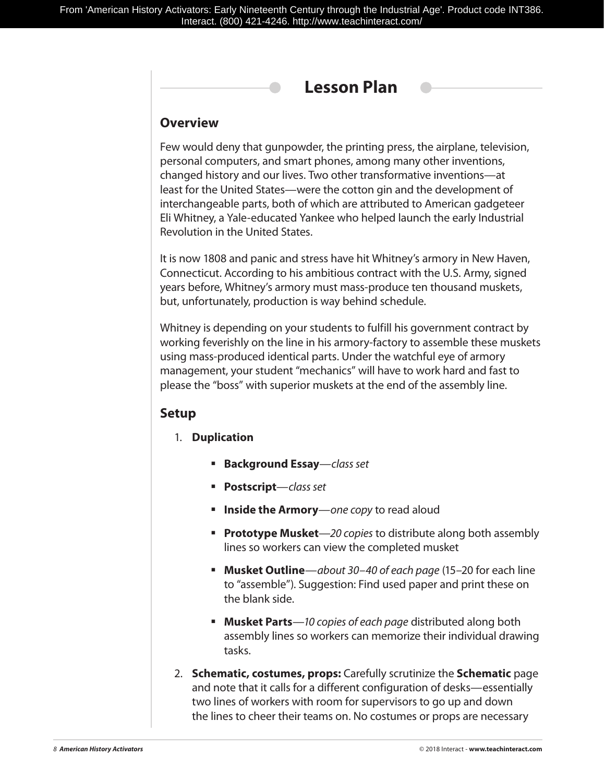

## **Overview**

Few would deny that gunpowder, the printing press, the airplane, television, personal computers, and smart phones, among many other inventions, changed history and our lives. Two other transformative inventions—at least for the United States—were the cotton gin and the development of interchangeable parts, both of which are attributed to American gadgeteer Eli Whitney, a Yale-educated Yankee who helped launch the early Industrial Revolution in the United States.

It is now 1808 and panic and stress have hit Whitney's armory in New Haven, Connecticut. According to his ambitious contract with the U.S. Army, signed years before, Whitney's armory must mass-produce ten thousand muskets, but, unfortunately, production is way behind schedule.

Whitney is depending on your students to fulfill his government contract by working feverishly on the line in his armory-factory to assemble these muskets using mass-produced identical parts. Under the watchful eye of armory management, your student "mechanics" will have to work hard and fast to please the "boss" with superior muskets at the end of the assembly line.

## **Setup**

- 1. **Duplication**
	- **Background Essay**—*class set*
	- **Postscript**—*class set*
	- **Inside the Armory**—*one copy* to read aloud
	- **Prototype Musket**—*20 copies* to distribute along both assembly lines so workers can view the completed musket
	- **Musket Outline**—*about 30–40 of each page* (15–20 for each line to "assemble"). Suggestion: Find used paper and print these on the blank side.
	- **Musket Parts**—*10 copies of each page* distributed along both assembly lines so workers can memorize their individual drawing tasks.
- 2. **Schematic, costumes, props:** Carefully scrutinize the **Schematic** page and note that it calls for a different configuration of desks—essentially two lines of workers with room for supervisors to go up and down the lines to cheer their teams on. No costumes or props are necessary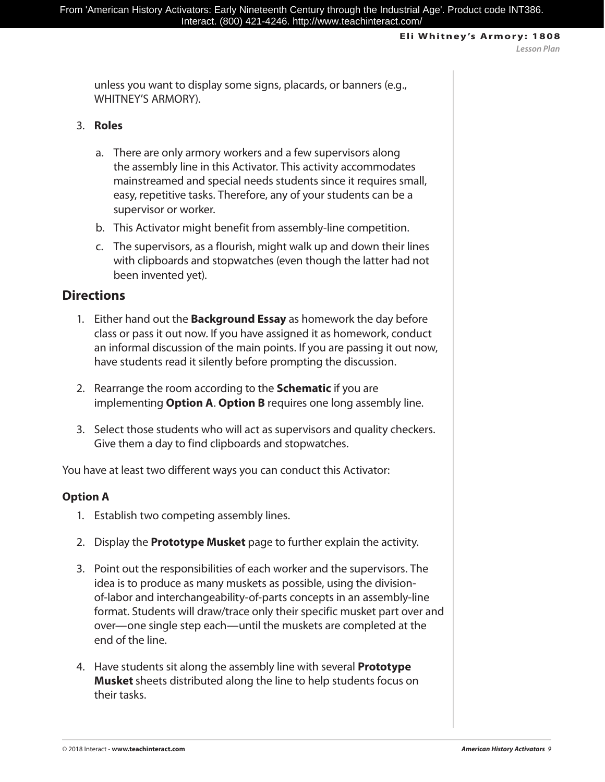unless you want to display some signs, placards, or banners (e.g., WHITNEY'S ARMORY).

## 3. **Roles**

- a. There are only armory workers and a few supervisors along the assembly line in this Activator. This activity accommodates mainstreamed and special needs students since it requires small, easy, repetitive tasks. Therefore, any of your students can be a supervisor or worker.
- b. This Activator might benefit from assembly-line competition.
- c. The supervisors, as a flourish, might walk up and down their lines with clipboards and stopwatches (even though the latter had not been invented yet).

## **Directions**

- 1. Either hand out the **Background Essay** as homework the day before class or pass it out now. If you have assigned it as homework, conduct an informal discussion of the main points. If you are passing it out now, have students read it silently before prompting the discussion.
- 2. Rearrange the room according to the **Schematic** if you are implementing **Option A**. **Option B** requires one long assembly line.
- 3. Select those students who will act as supervisors and quality checkers. Give them a day to find clipboards and stopwatches.

You have at least two different ways you can conduct this Activator:

## **Option A**

- 1. Establish two competing assembly lines.
- 2. Display the **Prototype Musket** page to further explain the activity.
- 3. Point out the responsibilities of each worker and the supervisors. The idea is to produce as many muskets as possible, using the divisionof-labor and interchangeability-of-parts concepts in an assembly-line format. Students will draw/trace only their specific musket part over and over—one single step each—until the muskets are completed at the end of the line.
- 4. Have students sit along the assembly line with several **Prototype Musket** sheets distributed along the line to help students focus on their tasks.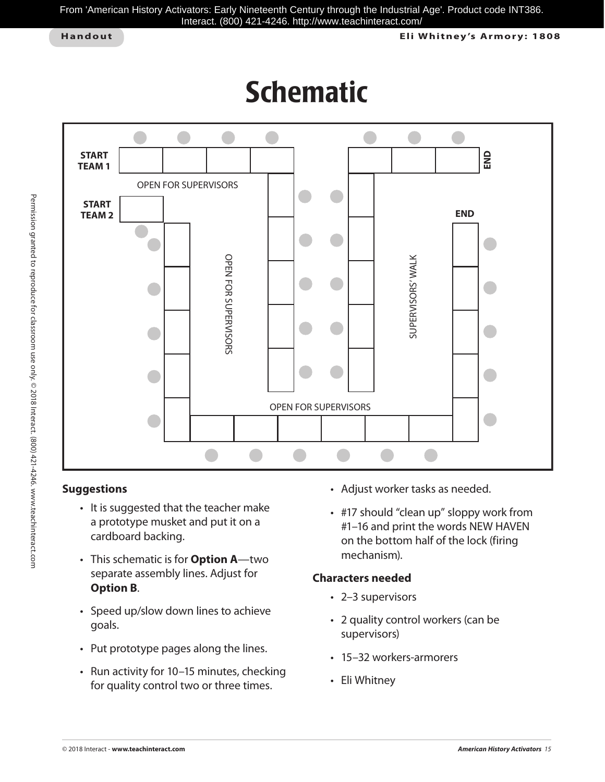From 'American History Activators: Early Nineteenth Century through the Industrial Age'. Product code INT386. Interact. (800) 421-4246. http://www.teachinteract.com/

**Handout Eli Whitney 's Armor y: 1808**

## Schematic



## **Suggestions**

- It is suggested that the teacher make a prototype musket and put it on a cardboard backing.
- This schematic is for **Option A**—two separate assembly lines. Adjust for **Option B**.
- Speed up/slow down lines to achieve goals.
- Put prototype pages along the lines.
- Run activity for 10–15 minutes, checking for quality control two or three times.
- Adjust worker tasks as needed.
- #17 should "clean up" sloppy work from #1–16 and print the words NEW HAVEN on the bottom half of the lock (firing mechanism).

## **Characters needed**

- 2–3 supervisors
- 2 quality control workers (can be supervisors)
- 15–32 workers-armorers
- Eli Whitney